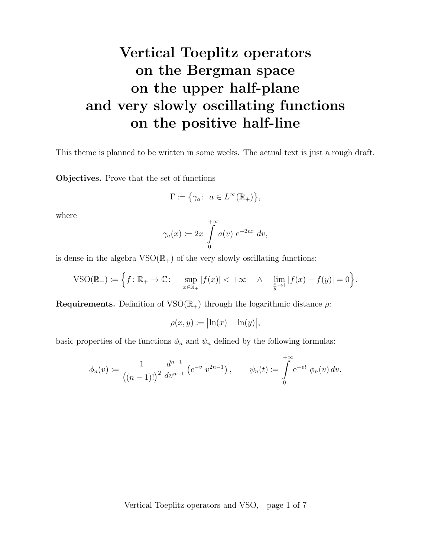# Vertical Toeplitz operators on the Bergman space on the upper half-plane and very slowly oscillating functions on the positive half-line

This theme is planned to be written in some weeks. The actual text is just a rough draft.

Objectives. Prove that the set of functions

$$
\Gamma \coloneqq \big\{ \gamma_a \colon \ a \in L^\infty(\mathbb{R}_+) \big\},
$$

where

$$
\gamma_a(x) \coloneqq 2x \int\limits_0^{+\infty} a(v) \, \mathrm{e}^{-2vx} \, dv,
$$

is dense in the algebra  $VSO(\mathbb{R}_+)$  of the very slowly oscillating functions:

$$
\text{VSO}(\mathbb{R}_+) \coloneqq \Big\{ f \colon \mathbb{R}_+ \to \mathbb{C} \colon \quad \sup_{x \in \mathbb{R}_+} |f(x)| < +\infty \quad \wedge \quad \lim_{\frac{x}{y} \to 1} |f(x) - f(y)| = 0 \Big\}.
$$

**Requirements.** Definition of  $VSO(\mathbb{R}_{+})$  through the logarithmic distance  $\rho$ :

$$
\rho(x,y) \coloneqq \bigl| \ln(x) - \ln(y) \bigr|,
$$

basic properties of the functions  $\phi_n$  and  $\psi_n$  defined by the following formulas:

$$
\phi_n(v) := \frac{1}{\left((n-1)!\right)^2} \frac{d^{n-1}}{dv^{n-1}} \left(e^{-v} v^{2n-1}\right), \qquad \psi_n(t) := \int\limits_0^{+\infty} e^{-vt} \phi_n(v) \, dv.
$$

Vertical Toeplitz operators and VSO, page 1 of 7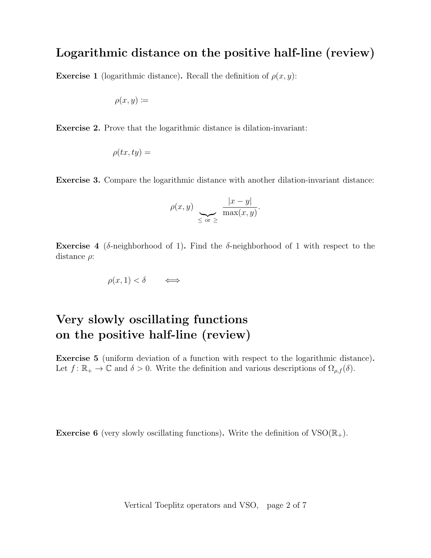#### Logarithmic distance on the positive half-line (review)

**Exercise 1** (logarithmic distance). Recall the definition of  $\rho(x, y)$ :

$$
\rho(x,y) \coloneqq
$$

Exercise 2. Prove that the logarithmic distance is dilation-invariant:

$$
\rho(tx, ty) =
$$

Exercise 3. Compare the logarithmic distance with another dilation-invariant distance:

$$
\rho(x,y) \sum_{\leq \text{ or } \geq} \frac{|x-y|}{\max(x,y)}.
$$

Exercise 4 (δ-neighborhood of 1). Find the δ-neighborhood of 1 with respect to the distance  $\rho$ :

$$
\rho(x,1) < \delta \qquad \Longleftrightarrow \qquad
$$

### Very slowly oscillating functions on the positive half-line (review)

Exercise 5 (uniform deviation of a function with respect to the logarithmic distance). Let  $f: \mathbb{R}_+ \to \mathbb{C}$  and  $\delta > 0$ . Write the definition and various descriptions of  $\Omega_{\rho,f}(\delta)$ .

**Exercise 6** (very slowly oscillating functions). Write the definition of  $VSO(\mathbb{R}_{+})$ .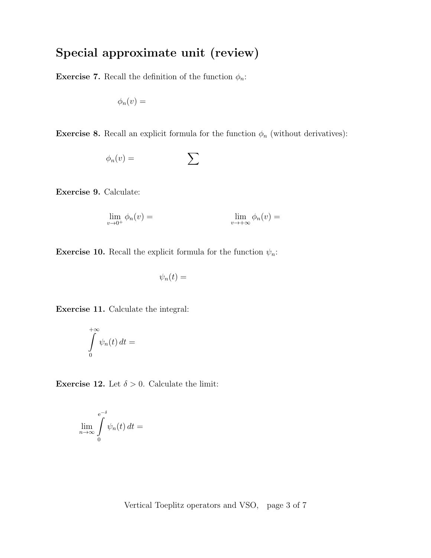## Special approximate unit (review)

**Exercise 7.** Recall the definition of the function  $\phi_n$ :

$$
\phi_n(v) =
$$

**Exercise 8.** Recall an explicit formula for the function  $\phi_n$  (without derivatives):

$$
\phi_n(v) = \sum
$$

Exercise 9. Calculate:

$$
\lim_{v \to 0^+} \phi_n(v) = \lim_{v \to +\infty} \phi_n(v) =
$$

**Exercise 10.** Recall the explicit formula for the function  $\psi_n$ :

$$
\psi_n(t) =
$$

Exercise 11. Calculate the integral:

$$
\int\limits_{0}^{+\infty}\psi_{n}(t)\,dt=
$$

**Exercise 12.** Let  $\delta > 0$ . Calculate the limit:

$$
\lim_{n \to \infty} \int_{0}^{e^{-\delta}} \psi_n(t) dt =
$$

Vertical Toeplitz operators and VSO, page 3 of 7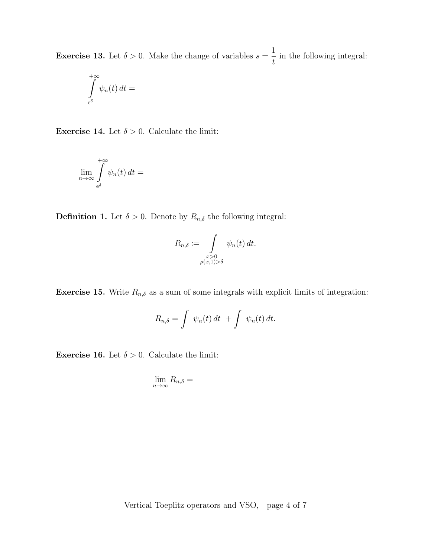**Exercise 13.** Let  $\delta > 0$ . Make the change of variables  $s =$ 1 t in the following integral:

$$
\int\limits_{e^\delta}^{+\infty} \psi_n(t)\,dt =
$$

**Exercise 14.** Let  $\delta > 0$ . Calculate the limit:

$$
\lim_{n\to\infty}\int\limits_{e^\delta}^{+\infty}\psi_n(t)\,dt=
$$

**Definition 1.** Let  $\delta > 0$ . Denote by  $R_{n,\delta}$  the following integral:

$$
R_{n,\delta} := \int\limits_{\substack{x>0 \\ \rho(x,1) > \delta}} \psi_n(t) dt.
$$

**Exercise 15.** Write  $R_{n,\delta}$  as a sum of some integrals with explicit limits of integration:

$$
R_{n,\delta} = \int \psi_n(t) dt + \int \psi_n(t) dt.
$$

**Exercise 16.** Let  $\delta > 0$ . Calculate the limit:

$$
\lim_{n\to\infty} R_{n,\delta} =
$$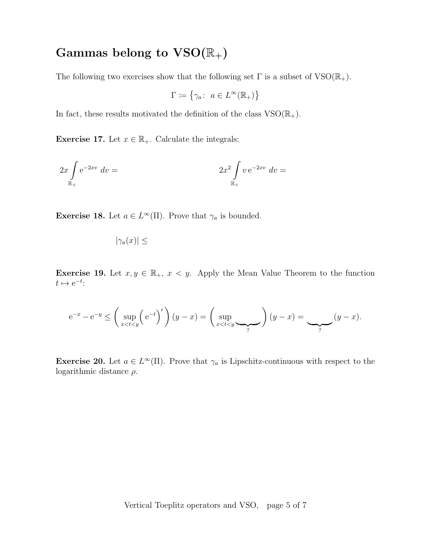### Gammas belong to  $VSO(\mathbb{R}_+)$

The following two exercises show that the following set  $\Gamma$  is a subset of  $VSO(\mathbb{R}_+)$ .

$$
\Gamma \coloneqq \{ \gamma_a \colon \ a \in L^\infty(\mathbb{R}_+) \}
$$

In fact, these results motivated the definition of the class  $VSO(\mathbb{R}_{+})$ .

**Exercise 17.** Let  $x \in \mathbb{R}_+$ . Calculate the integrals:

$$
2x \int_{\mathbb{R}_+} e^{-2xv} dv = 2x^2 \int_{\mathbb{R}_+} v e^{-2xv} dv =
$$

**Exercise 18.** Let  $a \in L^{\infty}(\Pi)$ . Prove that  $\gamma_a$  is bounded.

 $|\gamma_a(x)| \leq$ 

**Exercise 19.** Let  $x, y \in \mathbb{R}_+$ ,  $x < y$ . Apply the Mean Value Theorem to the function  $t \mapsto e^{-t}$ :

$$
e^{-x} - e^{-y} \le \left(\sup_{x < t < y} \left(e^{-t}\right)'\right)(y - x) = \left(\sup_{x < t < y} \underbrace{\phantom{y}}_{?}\right)(y - x) = \underbrace{\phantom{y}}_{?}\left(y - x\right).
$$

**Exercise 20.** Let  $a \in L^{\infty}(\Pi)$ . Prove that  $\gamma_a$  is Lipschitz-continuous with respect to the logarithmic distance  $\rho$ .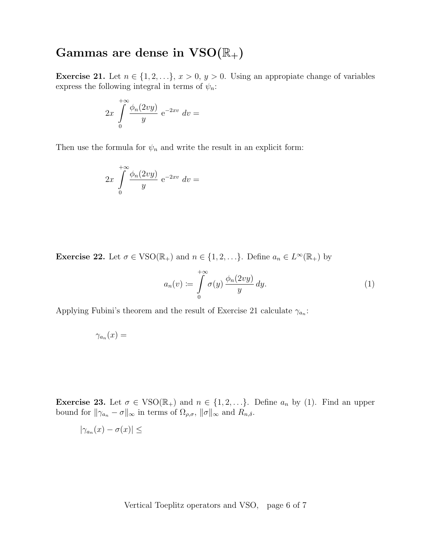### Gammas are dense in  $VSO(\mathbb{R}_+)$

Exercise 21. Let  $n \in \{1, 2, \ldots\}, x > 0, y > 0$ . Using an appropiate change of variables express the following integral in terms of  $\psi_n$ :

$$
2x \int_{0}^{+\infty} \frac{\phi_n(2vy)}{y} e^{-2xv} dv =
$$

Then use the formula for  $\psi_n$  and write the result in an explicit form:

$$
2x \int_{0}^{+\infty} \frac{\phi_n(2vy)}{y} e^{-2xv} dv =
$$

**Exercise 22.** Let  $\sigma \in \text{VSO}(\mathbb{R}_+)$  and  $n \in \{1, 2, ...\}$ . Define  $a_n \in L^{\infty}(\mathbb{R}_+)$  by

$$
a_n(v) := \int\limits_0^{+\infty} \sigma(y) \, \frac{\phi_n(2vy)}{y} \, dy. \tag{1}
$$

Applying Fubini's theorem and the result of Exercise 21 calculate  $\gamma_{a_n}$ :

$$
\gamma_{a_n}(x) =
$$

**Exercise 23.** Let  $\sigma \in \text{VSO}(\mathbb{R}_+)$  and  $n \in \{1, 2, ...\}$ . Define  $a_n$  by (1). Find an upper bound for  $\|\gamma_{a_n} - \sigma\|_{\infty}$  in terms of  $\Omega_{\rho,\sigma}$ ,  $\|\sigma\|_{\infty}$  and  $R_{n,\delta}$ .

$$
|\gamma_{a_n}(x)-\sigma(x)|\leq
$$

Vertical Toeplitz operators and VSO, page 6 of 7